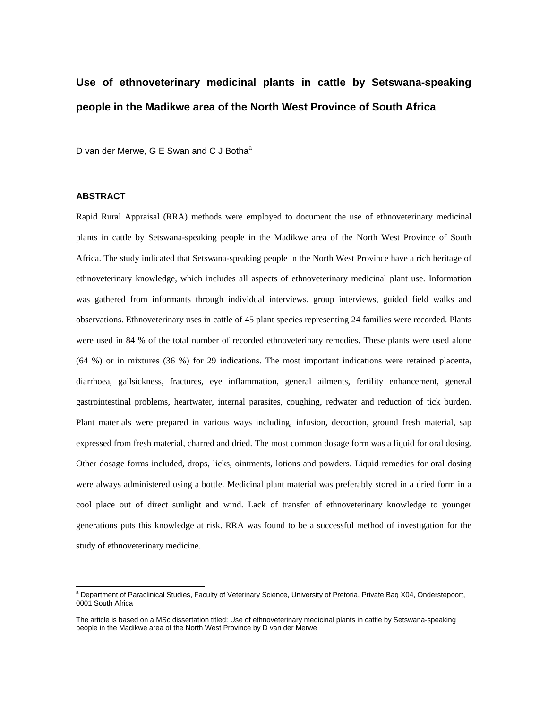# **Use of ethnoveterinary medicinal plants in cattle by Setswana-speaking people in the Madikwe area of the North West Province of South Africa**

D van der Merwe,  $G \text{ E}$  Swan and C J Botha $^a$ 

# **ABSTRACT**

Rapid Rural Appraisal (RRA) methods were employed to document the use of ethnoveterinary medicinal plants in cattle by Setswana-speaking people in the Madikwe area of the North West Province of South Africa. The study indicated that Setswana-speaking people in the North West Province have a rich heritage of ethnoveterinary knowledge, which includes all aspects of ethnoveterinary medicinal plant use. Information was gathered from informants through individual interviews, group interviews, guided field walks and observations. Ethnoveterinary uses in cattle of 45 plant species representing 24 families were recorded. Plants were used in 84 % of the total number of recorded ethnoveterinary remedies. These plants were used alone (64 %) or in mixtures (36 %) for 29 indications. The most important indications were retained placenta, diarrhoea, gallsickness, fractures, eye inflammation, general ailments, fertility enhancement, general gastrointestinal problems, heartwater, internal parasites, coughing, redwater and reduction of tick burden. Plant materials were prepared in various ways including, infusion, decoction, ground fresh material, sap expressed from fresh material, charred and dried. The most common dosage form was a liquid for oral dosing. Other dosage forms included, drops, licks, ointments, lotions and powders. Liquid remedies for oral dosing were always administered using a bottle. Medicinal plant material was preferably stored in a dried form in a cool place out of direct sunlight and wind. Lack of transfer of ethnoveterinary knowledge to younger generations puts this knowledge at risk. RRA was found to be a successful method of investigation for the study of ethnoveterinary medicine.

 a Department of Paraclinical Studies, Faculty of Veterinary Science, University of Pretoria, Private Bag X04, Onderstepoort, 0001 South Africa

The article is based on a MSc dissertation titled: Use of ethnoveterinary medicinal plants in cattle by Setswana-speaking people in the Madikwe area of the North West Province by D van der Merwe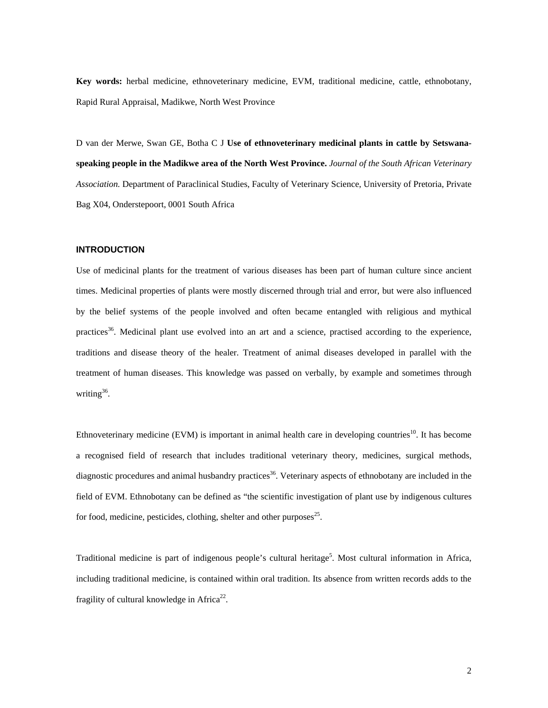**Key words:** herbal medicine, ethnoveterinary medicine, EVM, traditional medicine, cattle, ethnobotany, Rapid Rural Appraisal, Madikwe, North West Province

D van der Merwe, Swan GE, Botha C J **Use of ethnoveterinary medicinal plants in cattle by Setswanaspeaking people in the Madikwe area of the North West Province.** *Journal of the South African Veterinary Association.* Department of Paraclinical Studies, Faculty of Veterinary Science, University of Pretoria, Private Bag X04, Onderstepoort, 0001 South Africa

# **INTRODUCTION**

Use of medicinal plants for the treatment of various diseases has been part of human culture since ancient times. Medicinal properties of plants were mostly discerned through trial and error, but were also influenced by the belief systems of the people involved and often became entangled with religious and mythical practices<sup>36</sup>. Medicinal plant use evolved into an art and a science, practised according to the experience, traditions and disease theory of the healer. Treatment of animal diseases developed in parallel with the treatment of human diseases. This knowledge was passed on verbally, by example and sometimes through writing  $36$ .

Ethnoveterinary medicine (EVM) is important in animal health care in developing countries<sup>10</sup>. It has become a recognised field of research that includes traditional veterinary theory, medicines, surgical methods, diagnostic procedures and animal husbandry practices<sup>36</sup>. Veterinary aspects of ethnobotany are included in the field of EVM. Ethnobotany can be defined as "the scientific investigation of plant use by indigenous cultures for food, medicine, pesticides, clothing, shelter and other purposes $25$ .

Traditional medicine is part of indigenous people's cultural heritage<sup>5</sup>. Most cultural information in Africa, including traditional medicine, is contained within oral tradition. Its absence from written records adds to the fragility of cultural knowledge in Africa<sup>22</sup>.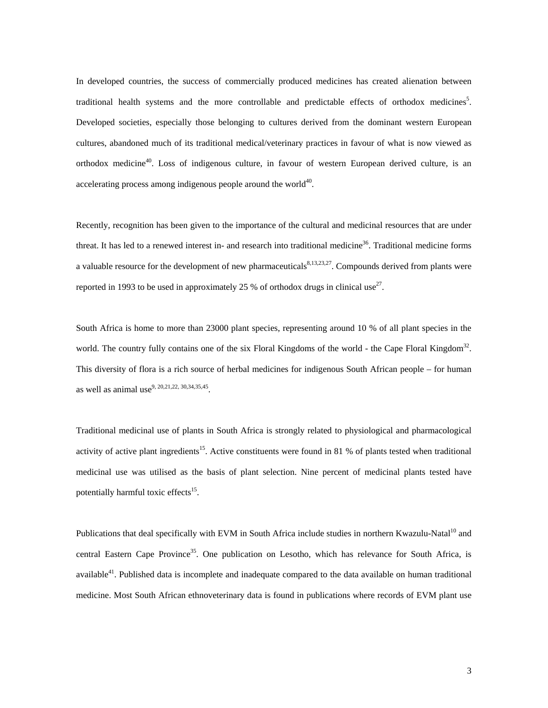In developed countries, the success of commercially produced medicines has created alienation between traditional health systems and the more controllable and predictable effects of orthodox medicines<sup>5</sup>. Developed societies, especially those belonging to cultures derived from the dominant western European cultures, abandoned much of its traditional medical/veterinary practices in favour of what is now viewed as orthodox medicine<sup>40</sup>. Loss of indigenous culture, in favour of western European derived culture, is an accelerating process among indigenous people around the world $40$ .

Recently, recognition has been given to the importance of the cultural and medicinal resources that are under threat. It has led to a renewed interest in- and research into traditional medicine $36$ . Traditional medicine forms a valuable resource for the development of new pharmaceuticals $8,13,23,27$ . Compounds derived from plants were reported in 1993 to be used in approximately 25 % of orthodox drugs in clinical use<sup>27</sup>.

South Africa is home to more than 23000 plant species, representing around 10 % of all plant species in the world. The country fully contains one of the six Floral Kingdoms of the world - the Cape Floral Kingdom<sup>32</sup>. This diversity of flora is a rich source of herbal medicines for indigenous South African people – for human as well as animal use<sup>9, 20,21,22, 30,34,35,45</sup>.

Traditional medicinal use of plants in South Africa is strongly related to physiological and pharmacological activity of active plant ingredients<sup>15</sup>. Active constituents were found in 81 % of plants tested when traditional medicinal use was utilised as the basis of plant selection. Nine percent of medicinal plants tested have potentially harmful toxic effects<sup>15</sup>.

Publications that deal specifically with EVM in South Africa include studies in northern Kwazulu-Natal<sup>10</sup> and central Eastern Cape Province<sup>35</sup>. One publication on Lesotho, which has relevance for South Africa, is available<sup>41</sup>. Published data is incomplete and inadequate compared to the data available on human traditional medicine. Most South African ethnoveterinary data is found in publications where records of EVM plant use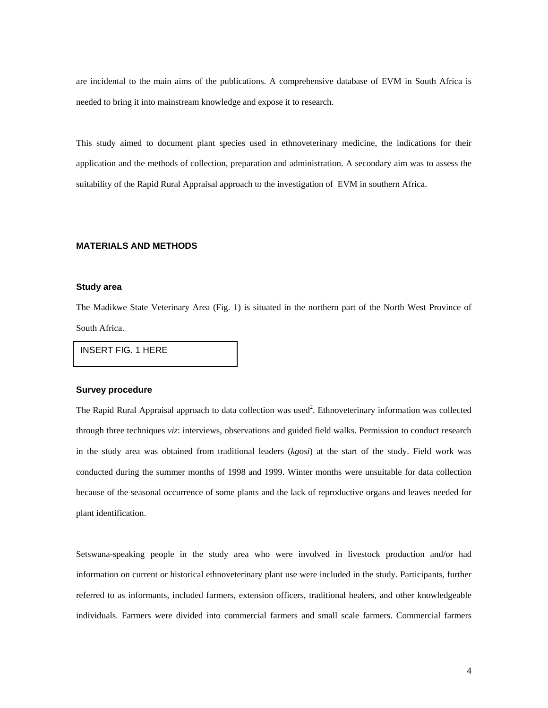are incidental to the main aims of the publications. A comprehensive database of EVM in South Africa is needed to bring it into mainstream knowledge and expose it to research.

This study aimed to document plant species used in ethnoveterinary medicine, the indications for their application and the methods of collection, preparation and administration. A secondary aim was to assess the suitability of the Rapid Rural Appraisal approach to the investigation of EVM in southern Africa.

# **MATERIALS AND METHODS**

### **Study area**

The Madikwe State Veterinary Area (Fig. 1) is situated in the northern part of the North West Province of South Africa.

INSERT FIG. 1 HERE

#### **Survey procedure**

The Rapid Rural Appraisal approach to data collection was used<sup>2</sup>. Ethnoveterinary information was collected through three techniques *viz*: interviews, observations and guided field walks. Permission to conduct research in the study area was obtained from traditional leaders (*kgosi*) at the start of the study. Field work was conducted during the summer months of 1998 and 1999. Winter months were unsuitable for data collection because of the seasonal occurrence of some plants and the lack of reproductive organs and leaves needed for plant identification.

Setswana-speaking people in the study area who were involved in livestock production and/or had information on current or historical ethnoveterinary plant use were included in the study. Participants, further referred to as informants, included farmers, extension officers, traditional healers, and other knowledgeable individuals. Farmers were divided into commercial farmers and small scale farmers. Commercial farmers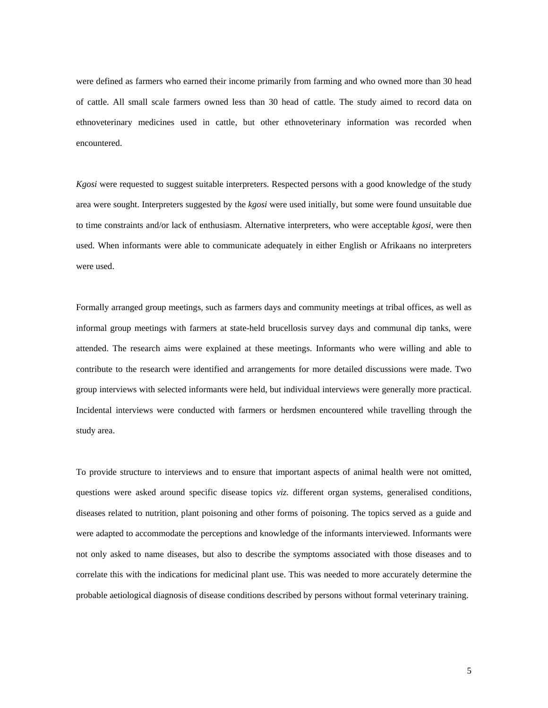were defined as farmers who earned their income primarily from farming and who owned more than 30 head of cattle. All small scale farmers owned less than 30 head of cattle. The study aimed to record data on ethnoveterinary medicines used in cattle, but other ethnoveterinary information was recorded when encountered.

*Kgosi* were requested to suggest suitable interpreters. Respected persons with a good knowledge of the study area were sought. Interpreters suggested by the *kgosi* were used initially, but some were found unsuitable due to time constraints and/or lack of enthusiasm. Alternative interpreters, who were acceptable *kgosi*, were then used. When informants were able to communicate adequately in either English or Afrikaans no interpreters were used.

Formally arranged group meetings, such as farmers days and community meetings at tribal offices, as well as informal group meetings with farmers at state-held brucellosis survey days and communal dip tanks, were attended. The research aims were explained at these meetings. Informants who were willing and able to contribute to the research were identified and arrangements for more detailed discussions were made. Two group interviews with selected informants were held, but individual interviews were generally more practical. Incidental interviews were conducted with farmers or herdsmen encountered while travelling through the study area.

To provide structure to interviews and to ensure that important aspects of animal health were not omitted, questions were asked around specific disease topics *viz.* different organ systems, generalised conditions, diseases related to nutrition, plant poisoning and other forms of poisoning. The topics served as a guide and were adapted to accommodate the perceptions and knowledge of the informants interviewed. Informants were not only asked to name diseases, but also to describe the symptoms associated with those diseases and to correlate this with the indications for medicinal plant use. This was needed to more accurately determine the probable aetiological diagnosis of disease conditions described by persons without formal veterinary training.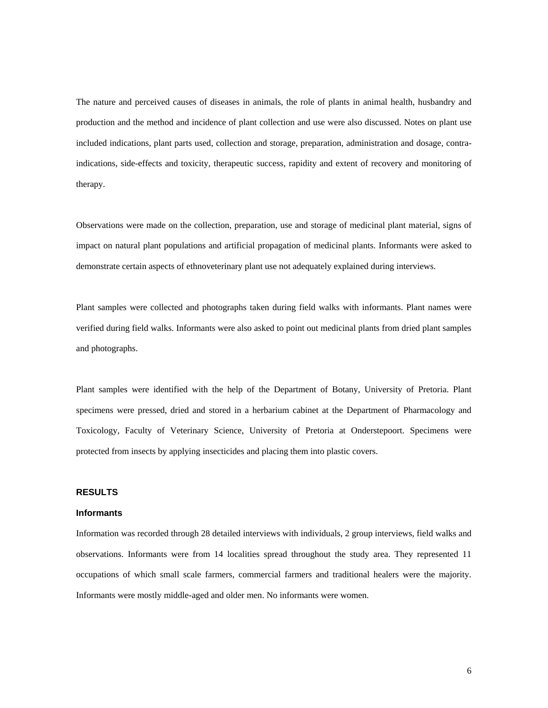The nature and perceived causes of diseases in animals, the role of plants in animal health, husbandry and production and the method and incidence of plant collection and use were also discussed. Notes on plant use included indications, plant parts used, collection and storage, preparation, administration and dosage, contraindications, side-effects and toxicity, therapeutic success, rapidity and extent of recovery and monitoring of therapy.

Observations were made on the collection, preparation, use and storage of medicinal plant material, signs of impact on natural plant populations and artificial propagation of medicinal plants. Informants were asked to demonstrate certain aspects of ethnoveterinary plant use not adequately explained during interviews.

Plant samples were collected and photographs taken during field walks with informants. Plant names were verified during field walks. Informants were also asked to point out medicinal plants from dried plant samples and photographs.

Plant samples were identified with the help of the Department of Botany, University of Pretoria. Plant specimens were pressed, dried and stored in a herbarium cabinet at the Department of Pharmacology and Toxicology, Faculty of Veterinary Science, University of Pretoria at Onderstepoort. Specimens were protected from insects by applying insecticides and placing them into plastic covers.

# **RESULTS**

# **Informants**

Information was recorded through 28 detailed interviews with individuals, 2 group interviews, field walks and observations. Informants were from 14 localities spread throughout the study area. They represented 11 occupations of which small scale farmers, commercial farmers and traditional healers were the majority. Informants were mostly middle-aged and older men. No informants were women.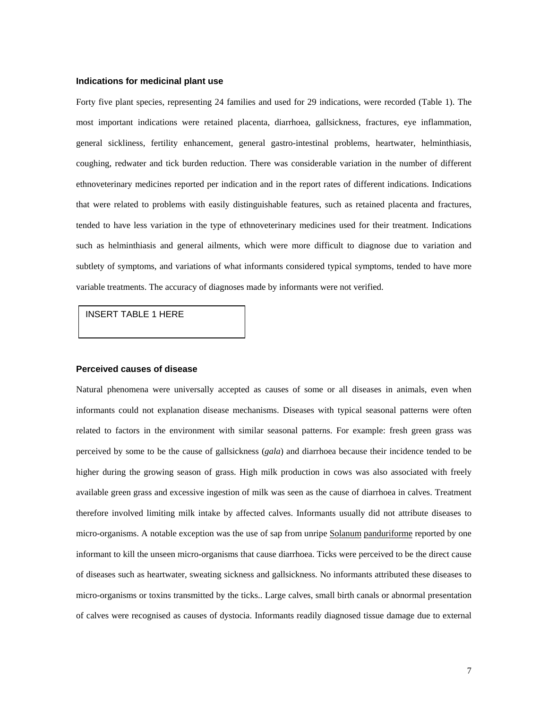#### **Indications for medicinal plant use**

Forty five plant species, representing 24 families and used for 29 indications, were recorded (Table 1). The most important indications were retained placenta, diarrhoea, gallsickness, fractures, eye inflammation, general sickliness, fertility enhancement, general gastro-intestinal problems, heartwater, helminthiasis, coughing, redwater and tick burden reduction. There was considerable variation in the number of different ethnoveterinary medicines reported per indication and in the report rates of different indications. Indications that were related to problems with easily distinguishable features, such as retained placenta and fractures, tended to have less variation in the type of ethnoveterinary medicines used for their treatment. Indications such as helminthiasis and general ailments, which were more difficult to diagnose due to variation and subtlety of symptoms, and variations of what informants considered typical symptoms, tended to have more variable treatments. The accuracy of diagnoses made by informants were not verified.

# INSERT TABLE 1 HERE

#### **Perceived causes of disease**

Natural phenomena were universally accepted as causes of some or all diseases in animals, even when informants could not explanation disease mechanisms. Diseases with typical seasonal patterns were often related to factors in the environment with similar seasonal patterns. For example: fresh green grass was perceived by some to be the cause of gallsickness (*gala*) and diarrhoea because their incidence tended to be higher during the growing season of grass. High milk production in cows was also associated with freely available green grass and excessive ingestion of milk was seen as the cause of diarrhoea in calves. Treatment therefore involved limiting milk intake by affected calves. Informants usually did not attribute diseases to micro-organisms. A notable exception was the use of sap from unripe Solanum panduriforme reported by one informant to kill the unseen micro-organisms that cause diarrhoea. Ticks were perceived to be the direct cause of diseases such as heartwater, sweating sickness and gallsickness. No informants attributed these diseases to micro-organisms or toxins transmitted by the ticks.. Large calves, small birth canals or abnormal presentation of calves were recognised as causes of dystocia. Informants readily diagnosed tissue damage due to external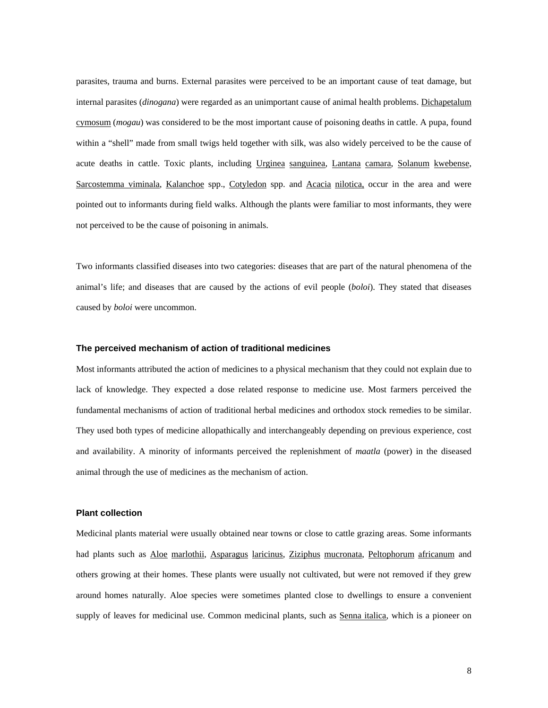parasites, trauma and burns. External parasites were perceived to be an important cause of teat damage, but internal parasites (*dinogana*) were regarded as an unimportant cause of animal health problems. Dichapetalum cymosum (*mogau*) was considered to be the most important cause of poisoning deaths in cattle. A pupa, found within a "shell" made from small twigs held together with silk, was also widely perceived to be the cause of acute deaths in cattle. Toxic plants, including Urginea sanguinea, Lantana camara, Solanum kwebense, Sarcostemma viminala, Kalanchoe spp., Cotyledon spp. and Acacia nilotica, occur in the area and were pointed out to informants during field walks. Although the plants were familiar to most informants, they were not perceived to be the cause of poisoning in animals.

Two informants classified diseases into two categories: diseases that are part of the natural phenomena of the animal's life; and diseases that are caused by the actions of evil people (*boloi*). They stated that diseases caused by *boloi* were uncommon.

### **The perceived mechanism of action of traditional medicines**

Most informants attributed the action of medicines to a physical mechanism that they could not explain due to lack of knowledge. They expected a dose related response to medicine use. Most farmers perceived the fundamental mechanisms of action of traditional herbal medicines and orthodox stock remedies to be similar. They used both types of medicine allopathically and interchangeably depending on previous experience, cost and availability. A minority of informants perceived the replenishment of *maatla* (power) in the diseased animal through the use of medicines as the mechanism of action.

#### **Plant collection**

Medicinal plants material were usually obtained near towns or close to cattle grazing areas. Some informants had plants such as Aloe marlothii, Asparagus laricinus, Ziziphus mucronata, Peltophorum africanum and others growing at their homes. These plants were usually not cultivated, but were not removed if they grew around homes naturally. Aloe species were sometimes planted close to dwellings to ensure a convenient supply of leaves for medicinal use. Common medicinal plants, such as Senna italica, which is a pioneer on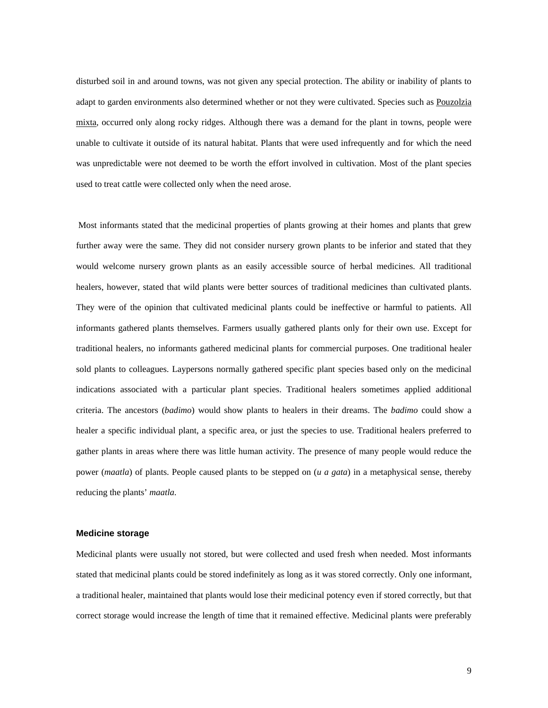disturbed soil in and around towns, was not given any special protection. The ability or inability of plants to adapt to garden environments also determined whether or not they were cultivated. Species such as Pouzolzia mixta*,* occurred only along rocky ridges. Although there was a demand for the plant in towns, people were unable to cultivate it outside of its natural habitat. Plants that were used infrequently and for which the need was unpredictable were not deemed to be worth the effort involved in cultivation. Most of the plant species used to treat cattle were collected only when the need arose.

 Most informants stated that the medicinal properties of plants growing at their homes and plants that grew further away were the same. They did not consider nursery grown plants to be inferior and stated that they would welcome nursery grown plants as an easily accessible source of herbal medicines. All traditional healers, however, stated that wild plants were better sources of traditional medicines than cultivated plants. They were of the opinion that cultivated medicinal plants could be ineffective or harmful to patients. All informants gathered plants themselves. Farmers usually gathered plants only for their own use. Except for traditional healers, no informants gathered medicinal plants for commercial purposes. One traditional healer sold plants to colleagues. Laypersons normally gathered specific plant species based only on the medicinal indications associated with a particular plant species. Traditional healers sometimes applied additional criteria. The ancestors (*badimo*) would show plants to healers in their dreams. The *badimo* could show a healer a specific individual plant, a specific area, or just the species to use. Traditional healers preferred to gather plants in areas where there was little human activity. The presence of many people would reduce the power (*maatla*) of plants. People caused plants to be stepped on (*u a gata*) in a metaphysical sense, thereby reducing the plants' *maatla*.

#### **Medicine storage**

Medicinal plants were usually not stored, but were collected and used fresh when needed. Most informants stated that medicinal plants could be stored indefinitely as long as it was stored correctly. Only one informant, a traditional healer, maintained that plants would lose their medicinal potency even if stored correctly, but that correct storage would increase the length of time that it remained effective. Medicinal plants were preferably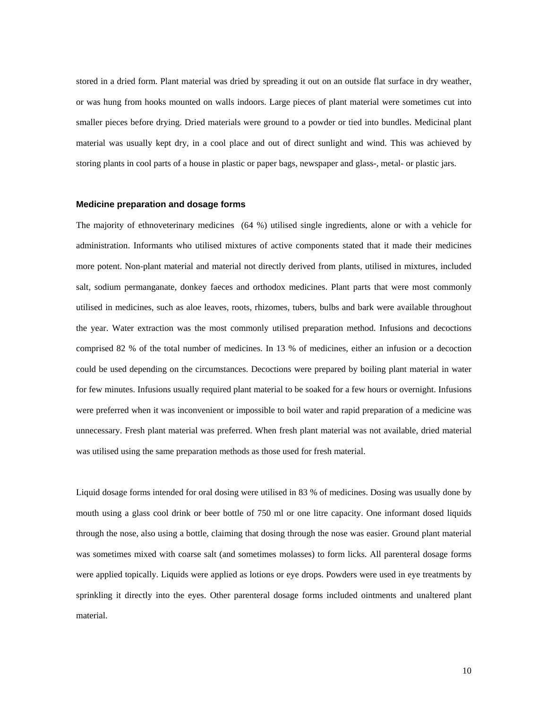stored in a dried form. Plant material was dried by spreading it out on an outside flat surface in dry weather, or was hung from hooks mounted on walls indoors. Large pieces of plant material were sometimes cut into smaller pieces before drying. Dried materials were ground to a powder or tied into bundles. Medicinal plant material was usually kept dry, in a cool place and out of direct sunlight and wind. This was achieved by storing plants in cool parts of a house in plastic or paper bags, newspaper and glass-, metal- or plastic jars.

#### **Medicine preparation and dosage forms**

The majority of ethnoveterinary medicines (64 %) utilised single ingredients, alone or with a vehicle for administration. Informants who utilised mixtures of active components stated that it made their medicines more potent. Non-plant material and material not directly derived from plants, utilised in mixtures, included salt, sodium permanganate, donkey faeces and orthodox medicines. Plant parts that were most commonly utilised in medicines, such as aloe leaves, roots, rhizomes, tubers, bulbs and bark were available throughout the year. Water extraction was the most commonly utilised preparation method. Infusions and decoctions comprised 82 % of the total number of medicines. In 13 % of medicines, either an infusion or a decoction could be used depending on the circumstances. Decoctions were prepared by boiling plant material in water for few minutes. Infusions usually required plant material to be soaked for a few hours or overnight. Infusions were preferred when it was inconvenient or impossible to boil water and rapid preparation of a medicine was unnecessary. Fresh plant material was preferred. When fresh plant material was not available, dried material was utilised using the same preparation methods as those used for fresh material.

Liquid dosage forms intended for oral dosing were utilised in 83 % of medicines. Dosing was usually done by mouth using a glass cool drink or beer bottle of 750 ml or one litre capacity. One informant dosed liquids through the nose, also using a bottle, claiming that dosing through the nose was easier. Ground plant material was sometimes mixed with coarse salt (and sometimes molasses) to form licks. All parenteral dosage forms were applied topically. Liquids were applied as lotions or eye drops. Powders were used in eye treatments by sprinkling it directly into the eyes. Other parenteral dosage forms included ointments and unaltered plant material.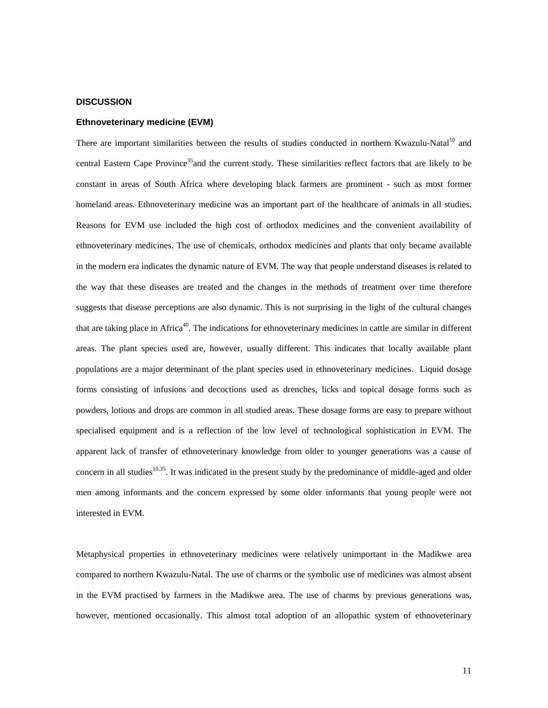#### **DISCUSSION**

# **Ethnoveterinary medicine (EVM)**

There are important similarities between the results of studies conducted in northern Kwazulu-Natal<sup>10</sup> and central Eastern Cape Province<sup>35</sup>and the current study. These similarities reflect factors that are likely to be constant in areas of South Africa where developing black farmers are prominent - such as most former homeland areas. Ethnoveterinary medicine was an important part of the healthcare of animals in all studies. Reasons for EVM use included the high cost of orthodox medicines and the convenient availability of ethnoveterinary medicines. The use of chemicals, orthodox medicines and plants that only became available in the modern era indicates the dynamic nature of EVM. The way that people understand diseases is related to the way that these diseases are treated and the changes in the methods of treatment over time therefore suggests that disease perceptions are also dynamic. This is not surprising in the light of the cultural changes that are taking place in Africa40. The indications for ethnoveterinary medicines in cattle are similar in different areas. The plant species used are, however, usually different. This indicates that locally available plant populations are a major determinant of the plant species used in ethnoveterinary medicines. Liquid dosage forms consisting of infusions and decoctions used as drenches, licks and topical dosage forms such as powders, lotions and drops are common in all studied areas. These dosage forms are easy to prepare without specialised equipment and is a reflection of the low level of technological sophistication in EVM. The apparent lack of transfer of ethnoveterinary knowledge from older to younger generations was a cause of concern in all studies<sup>10,35</sup>. It was indicated in the present study by the predominance of middle-aged and older men among informants and the concern expressed by some older informants that young people were not interested in EVM.

Metaphysical properties in ethnoveterinary medicines were relatively unimportant in the Madikwe area compared to northern Kwazulu-Natal. The use of charms or the symbolic use of medicines was almost absent in the EVM practised by farmers in the Madikwe area. The use of charms by previous generations was, however, mentioned occasionally. This almost total adoption of an allopathic system of ethnoveterinary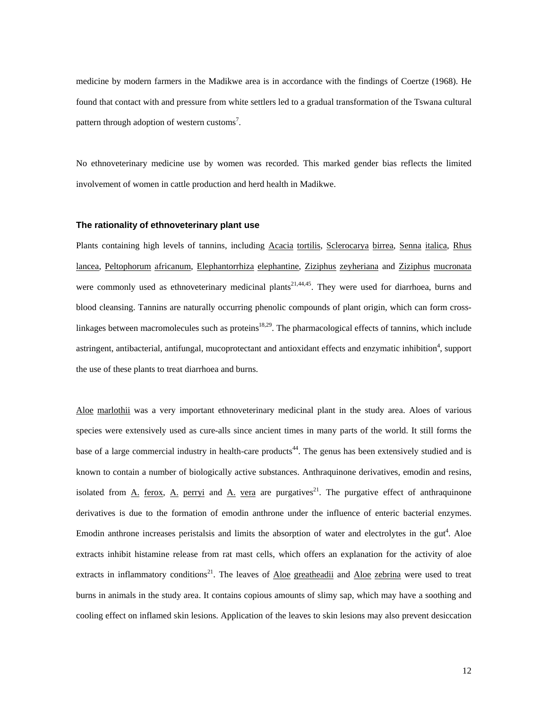medicine by modern farmers in the Madikwe area is in accordance with the findings of Coertze (1968). He found that contact with and pressure from white settlers led to a gradual transformation of the Tswana cultural pattern through adoption of western customs<sup>7</sup>.

No ethnoveterinary medicine use by women was recorded. This marked gender bias reflects the limited involvement of women in cattle production and herd health in Madikwe.

#### **The rationality of ethnoveterinary plant use**

Plants containing high levels of tannins, including Acacia tortilis, Sclerocarya birrea, Senna italica, Rhus lancea, Peltophorum africanum, Elephantorrhiza elephantine, Ziziphus zeyheriana and Ziziphus mucronata were commonly used as ethnoveterinary medicinal plants<sup>21,44,45</sup>. They were used for diarrhoea, burns and blood cleansing. Tannins are naturally occurring phenolic compounds of plant origin, which can form crosslinkages between macromolecules such as proteins $18,29$ . The pharmacological effects of tannins, which include astringent, antibacterial, antifungal, mucoprotectant and antioxidant effects and enzymatic inhibition<sup>4</sup>, support the use of these plants to treat diarrhoea and burns.

Aloe marlothii was a very important ethnoveterinary medicinal plant in the study area. Aloes of various species were extensively used as cure-alls since ancient times in many parts of the world. It still forms the base of a large commercial industry in health-care products<sup>44</sup>. The genus has been extensively studied and is known to contain a number of biologically active substances. Anthraquinone derivatives, emodin and resins, isolated from  $\underline{A}$ . ferox,  $\underline{A}$ . perryi and  $\underline{A}$ . vera are purgatives<sup>21</sup>. The purgative effect of anthraquinone derivatives is due to the formation of emodin anthrone under the influence of enteric bacterial enzymes. Emodin anthrone increases peristalsis and limits the absorption of water and electrolytes in the gut<sup>4</sup>. Aloe extracts inhibit histamine release from rat mast cells, which offers an explanation for the activity of aloe extracts in inflammatory conditions<sup>21</sup>. The leaves of Aloe greatheadii and Aloe zebrina were used to treat burns in animals in the study area. It contains copious amounts of slimy sap, which may have a soothing and cooling effect on inflamed skin lesions. Application of the leaves to skin lesions may also prevent desiccation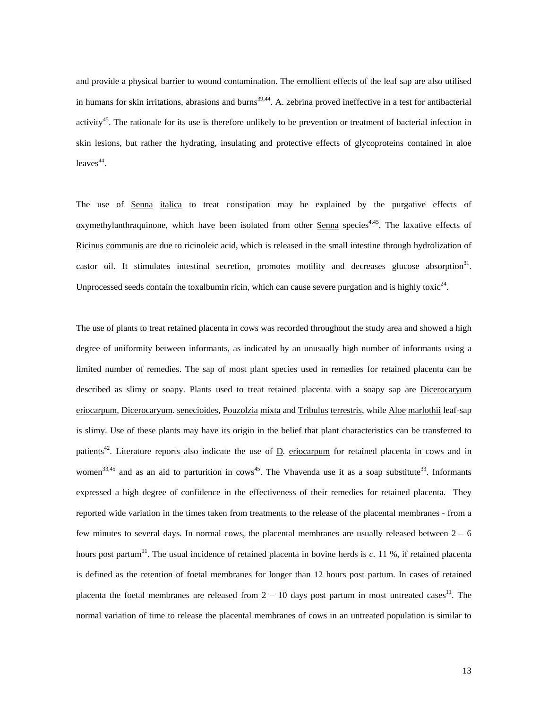and provide a physical barrier to wound contamination. The emollient effects of the leaf sap are also utilised in humans for skin irritations, abrasions and burns<sup>39,44</sup>. A. zebrina proved ineffective in a test for antibacterial activity<sup>45</sup>. The rationale for its use is therefore unlikely to be prevention or treatment of bacterial infection in skin lesions, but rather the hydrating, insulating and protective effects of glycoproteins contained in aloe  $leaves<sup>44</sup>$ .

The use of Senna italica to treat constipation may be explained by the purgative effects of oxymethylanthraquinone, which have been isolated from other Senna species<sup>4,45</sup>. The laxative effects of Ricinus communis are due to ricinoleic acid, which is released in the small intestine through hydrolization of castor oil. It stimulates intestinal secretion, promotes motility and decreases glucose absorption<sup>31</sup>. Unprocessed seeds contain the toxalbumin ricin, which can cause severe purgation and is highly toxic<sup>24</sup>.

The use of plants to treat retained placenta in cows was recorded throughout the study area and showed a high degree of uniformity between informants, as indicated by an unusually high number of informants using a limited number of remedies. The sap of most plant species used in remedies for retained placenta can be described as slimy or soapy. Plants used to treat retained placenta with a soapy sap are Dicerocaryum eriocarpum*,* Dicerocaryum*.* senecioides*,* Pouzolzia mixta and Tribulus terrestris, while Aloe marlothii leaf-sap is slimy. Use of these plants may have its origin in the belief that plant characteristics can be transferred to patients<sup>42</sup>. Literature reports also indicate the use of D. eriocarpum for retained placenta in cows and in women<sup>33,45</sup> and as an aid to parturition in cows<sup>45</sup>. The Vhavenda use it as a soap substitute<sup>33</sup>. Informants expressed a high degree of confidence in the effectiveness of their remedies for retained placenta. They reported wide variation in the times taken from treatments to the release of the placental membranes - from a few minutes to several days. In normal cows, the placental membranes are usually released between  $2 - 6$ hours post partum<sup>11</sup>. The usual incidence of retained placenta in bovine herds is  $c$ . 11 %, if retained placenta is defined as the retention of foetal membranes for longer than 12 hours post partum. In cases of retained placenta the foetal membranes are released from  $2 - 10$  days post partum in most untreated cases<sup>11</sup>. The normal variation of time to release the placental membranes of cows in an untreated population is similar to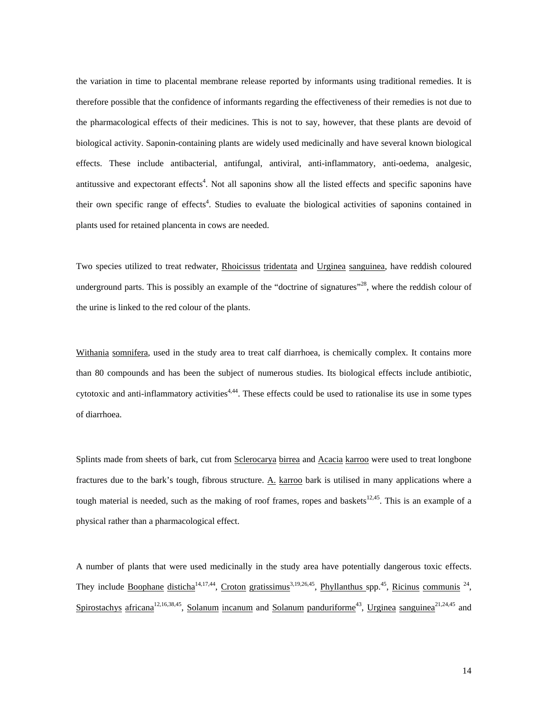the variation in time to placental membrane release reported by informants using traditional remedies. It is therefore possible that the confidence of informants regarding the effectiveness of their remedies is not due to the pharmacological effects of their medicines. This is not to say, however, that these plants are devoid of biological activity. Saponin-containing plants are widely used medicinally and have several known biological effects. These include antibacterial, antifungal, antiviral, anti-inflammatory, anti-oedema, analgesic, antitussive and expectorant effects<sup>4</sup>. Not all saponins show all the listed effects and specific saponins have their own specific range of effects<sup>4</sup>. Studies to evaluate the biological activities of saponins contained in plants used for retained plancenta in cows are needed.

Two species utilized to treat redwater, Rhoicissus tridentata and Urginea sanguinea, have reddish coloured underground parts. This is possibly an example of the "doctrine of signatures"<sup>28</sup>, where the reddish colour of the urine is linked to the red colour of the plants.

Withania somnifera, used in the study area to treat calf diarrhoea, is chemically complex. It contains more than 80 compounds and has been the subject of numerous studies. Its biological effects include antibiotic, cytotoxic and anti-inflammatory activities<sup> $4,44$ </sup>. These effects could be used to rationalise its use in some types of diarrhoea.

Splints made from sheets of bark, cut from Sclerocarya birrea and Acacia karroo were used to treat longbone fractures due to the bark's tough, fibrous structure. A. karroo bark is utilised in many applications where a tough material is needed, such as the making of roof frames, ropes and baskets<sup>12,45</sup>. This is an example of a physical rather than a pharmacological effect.

A number of plants that were used medicinally in the study area have potentially dangerous toxic effects. They include Boophane disticha<sup>14,17,44</sup>, Croton gratissimus<sup>3,19,26,45</sup>, Phyllanthus spp.<sup>45</sup>, Ricinus communis <sup>24</sup>, Spirostachys africana<sup>12,16,38,45</sup>, Solanum incanum and Solanum panduriforme<sup>43</sup>, Urginea sanguinea<sup>21,24,45</sup> and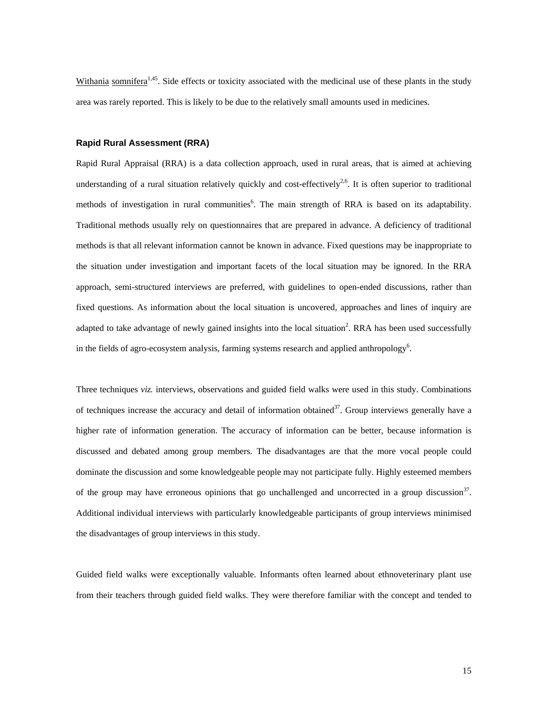Withania somnifera<sup>1,45</sup>. Side effects or toxicity associated with the medicinal use of these plants in the study area was rarely reported. This is likely to be due to the relatively small amounts used in medicines.

### **Rapid Rural Assessment (RRA)**

Rapid Rural Appraisal (RRA) is a data collection approach, used in rural areas, that is aimed at achieving understanding of a rural situation relatively quickly and cost-effectively<sup>2,6</sup>. It is often superior to traditional methods of investigation in rural communities<sup>6</sup>. The main strength of RRA is based on its adaptability. Traditional methods usually rely on questionnaires that are prepared in advance. A deficiency of traditional methods is that all relevant information cannot be known in advance. Fixed questions may be inappropriate to the situation under investigation and important facets of the local situation may be ignored. In the RRA approach, semi-structured interviews are preferred, with guidelines to open-ended discussions, rather than fixed questions. As information about the local situation is uncovered, approaches and lines of inquiry are adapted to take advantage of newly gained insights into the local situation<sup>2</sup>. RRA has been used successfully in the fields of agro-ecosystem analysis, farming systems research and applied anthropology<sup>6</sup>.

Three techniques *viz.* interviews, observations and guided field walks were used in this study. Combinations of techniques increase the accuracy and detail of information obtained $3^7$ . Group interviews generally have a higher rate of information generation. The accuracy of information can be better, because information is discussed and debated among group members. The disadvantages are that the more vocal people could dominate the discussion and some knowledgeable people may not participate fully. Highly esteemed members of the group may have erroneous opinions that go unchallenged and uncorrected in a group discussion<sup>37</sup>. Additional individual interviews with particularly knowledgeable participants of group interviews minimised the disadvantages of group interviews in this study.

Guided field walks were exceptionally valuable. Informants often learned about ethnoveterinary plant use from their teachers through guided field walks. They were therefore familiar with the concept and tended to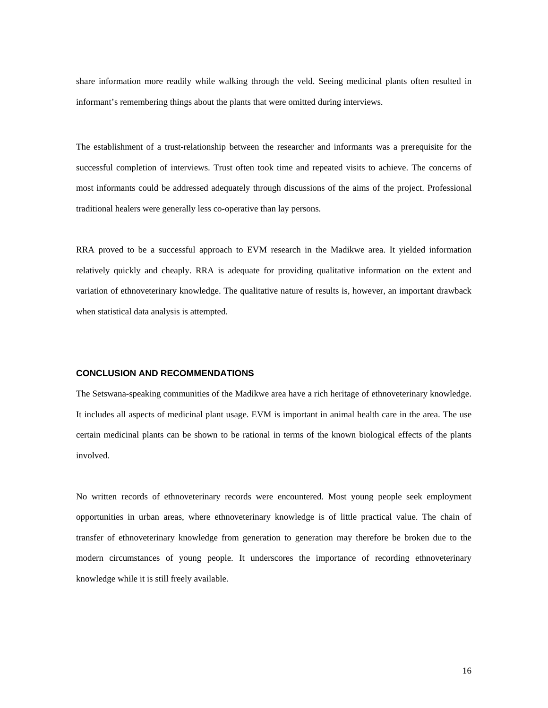share information more readily while walking through the veld. Seeing medicinal plants often resulted in informant's remembering things about the plants that were omitted during interviews.

The establishment of a trust-relationship between the researcher and informants was a prerequisite for the successful completion of interviews. Trust often took time and repeated visits to achieve. The concerns of most informants could be addressed adequately through discussions of the aims of the project. Professional traditional healers were generally less co-operative than lay persons.

RRA proved to be a successful approach to EVM research in the Madikwe area. It yielded information relatively quickly and cheaply. RRA is adequate for providing qualitative information on the extent and variation of ethnoveterinary knowledge. The qualitative nature of results is, however, an important drawback when statistical data analysis is attempted.

#### **CONCLUSION AND RECOMMENDATIONS**

The Setswana-speaking communities of the Madikwe area have a rich heritage of ethnoveterinary knowledge. It includes all aspects of medicinal plant usage. EVM is important in animal health care in the area. The use certain medicinal plants can be shown to be rational in terms of the known biological effects of the plants involved.

No written records of ethnoveterinary records were encountered. Most young people seek employment opportunities in urban areas, where ethnoveterinary knowledge is of little practical value. The chain of transfer of ethnoveterinary knowledge from generation to generation may therefore be broken due to the modern circumstances of young people. It underscores the importance of recording ethnoveterinary knowledge while it is still freely available.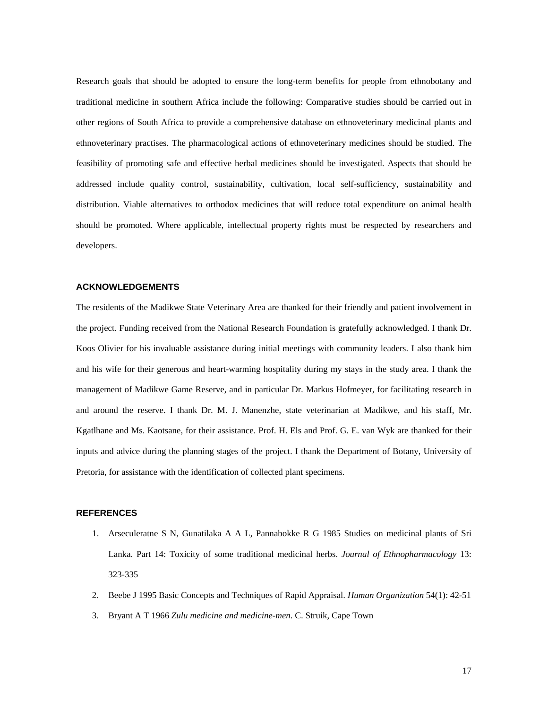Research goals that should be adopted to ensure the long-term benefits for people from ethnobotany and traditional medicine in southern Africa include the following: Comparative studies should be carried out in other regions of South Africa to provide a comprehensive database on ethnoveterinary medicinal plants and ethnoveterinary practises. The pharmacological actions of ethnoveterinary medicines should be studied. The feasibility of promoting safe and effective herbal medicines should be investigated. Aspects that should be addressed include quality control, sustainability, cultivation, local self-sufficiency, sustainability and distribution. Viable alternatives to orthodox medicines that will reduce total expenditure on animal health should be promoted. Where applicable, intellectual property rights must be respected by researchers and developers.

#### **ACKNOWLEDGEMENTS**

The residents of the Madikwe State Veterinary Area are thanked for their friendly and patient involvement in the project. Funding received from the National Research Foundation is gratefully acknowledged. I thank Dr. Koos Olivier for his invaluable assistance during initial meetings with community leaders. I also thank him and his wife for their generous and heart-warming hospitality during my stays in the study area. I thank the management of Madikwe Game Reserve, and in particular Dr. Markus Hofmeyer, for facilitating research in and around the reserve. I thank Dr. M. J. Manenzhe, state veterinarian at Madikwe, and his staff, Mr. Kgatlhane and Ms. Kaotsane, for their assistance. Prof. H. Els and Prof. G. E. van Wyk are thanked for their inputs and advice during the planning stages of the project. I thank the Department of Botany, University of Pretoria, for assistance with the identification of collected plant specimens.

#### **REFERENCES**

- 1. Arseculeratne S N, Gunatilaka A A L, Pannabokke R G 1985 Studies on medicinal plants of Sri Lanka. Part 14: Toxicity of some traditional medicinal herbs. *Journal of Ethnopharmacology* 13: 323-335
- 2. Beebe J 1995 Basic Concepts and Techniques of Rapid Appraisal. *Human Organization* 54(1): 42-51
- 3. Bryant A T 1966 *Zulu medicine and medicine-men*. C. Struik, Cape Town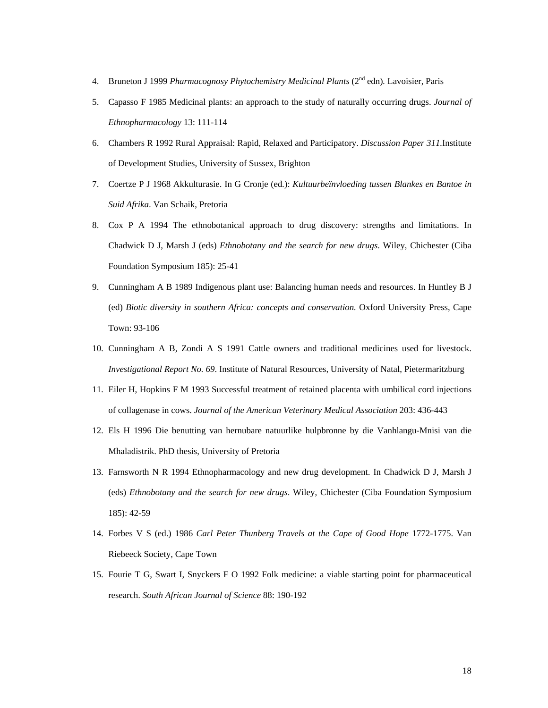- 4. Bruneton J 1999 *Pharmacognosy Phytochemistry Medicinal Plants* (2nd edn)*.* Lavoisier, Paris
- 5. Capasso F 1985 Medicinal plants: an approach to the study of naturally occurring drugs. *Journal of Ethnopharmacology* 13: 111-114
- 6. Chambers R 1992 Rural Appraisal: Rapid, Relaxed and Participatory. *Discussion Paper 311.*Institute of Development Studies, University of Sussex, Brighton
- 7. Coertze P J 1968 Akkulturasie. In G Cronje (ed*.*): *Kultuurbeïnvloeding tussen Blankes en Bantoe in Suid Afrika*. Van Schaik, Pretoria
- 8. Cox P A 1994 The ethnobotanical approach to drug discovery: strengths and limitations. In Chadwick D J, Marsh J (eds) *Ethnobotany and the search for new drugs*. Wiley, Chichester (Ciba Foundation Symposium 185): 25-41
- 9. Cunningham A B 1989 Indigenous plant use: Balancing human needs and resources. In Huntley B J (ed) *Biotic diversity in southern Africa: concepts and conservation.* Oxford University Press, Cape Town: 93-106
- 10. Cunningham A B, Zondi A S 1991 Cattle owners and traditional medicines used for livestock. *Investigational Report No. 69*. Institute of Natural Resources, University of Natal, Pietermaritzburg
- 11. Eiler H, Hopkins F M 1993 Successful treatment of retained placenta with umbilical cord injections of collagenase in cows. *Journal of the American Veterinary Medical Association* 203: 436-443
- 12. Els H 1996 Die benutting van hernubare natuurlike hulpbronne by die Vanhlangu-Mnisi van die Mhaladistrik. PhD thesis, University of Pretoria
- 13. Farnsworth N R 1994 Ethnopharmacology and new drug development. In Chadwick D J, Marsh J (eds) *Ethnobotany and the search for new drugs*. Wiley, Chichester (Ciba Foundation Symposium 185): 42-59
- 14. Forbes V S (ed.) 1986 *Carl Peter Thunberg Travels at the Cape of Good Hope* 1772-1775. Van Riebeeck Society, Cape Town
- 15. Fourie T G, Swart I, Snyckers F O 1992 Folk medicine: a viable starting point for pharmaceutical research. *South African Journal of Science* 88: 190-192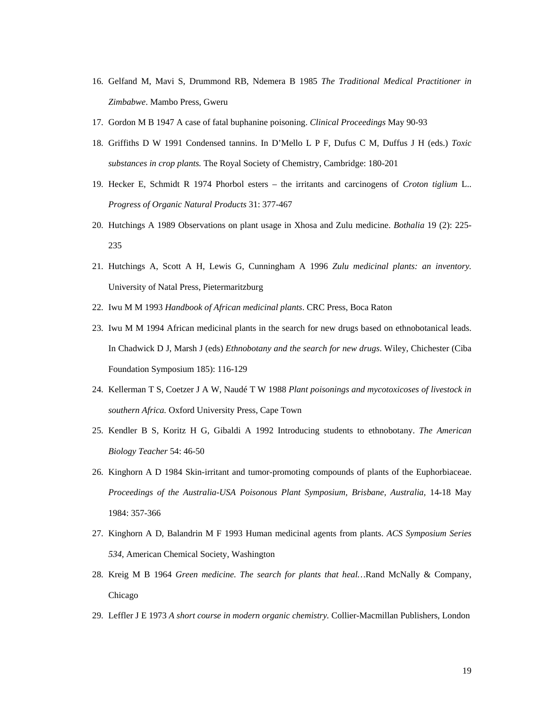- 16. Gelfand M, Mavi S, Drummond RB, Ndemera B 1985 *The Traditional Medical Practitioner in Zimbabwe*. Mambo Press, Gweru
- 17. Gordon M B 1947 A case of fatal buphanine poisoning. *Clinical Proceedings* May 90-93
- 18. Griffiths D W 1991 Condensed tannins. In D'Mello L P F, Dufus C M, Duffus J H (eds.) *Toxic substances in crop plants.* The Royal Society of Chemistry, Cambridge: 180-201
- 19. Hecker E, Schmidt R 1974 Phorbol esters the irritants and carcinogens of *Croton tiglium* L.. *Progress of Organic Natural Products* 31: 377-467
- 20. Hutchings A 1989 Observations on plant usage in Xhosa and Zulu medicine. *Bothalia* 19 (2): 225- 235
- 21. Hutchings A, Scott A H, Lewis G, Cunningham A 1996 *Zulu medicinal plants: an inventory.* University of Natal Press, Pietermaritzburg
- 22. Iwu M M 1993 *Handbook of African medicinal plants*. CRC Press, Boca Raton
- 23. Iwu M M 1994 African medicinal plants in the search for new drugs based on ethnobotanical leads. In Chadwick D J, Marsh J (eds) *Ethnobotany and the search for new drugs*. Wiley, Chichester (Ciba Foundation Symposium 185): 116-129
- 24. Kellerman T S, Coetzer J A W, Naudé T W 1988 *Plant poisonings and mycotoxicoses of livestock in southern Africa.* Oxford University Press, Cape Town
- 25. Kendler B S, Koritz H G, Gibaldi A 1992 Introducing students to ethnobotany. *The American Biology Teacher* 54: 46-50
- 26. Kinghorn A D 1984 Skin-irritant and tumor-promoting compounds of plants of the Euphorbiaceae. *Proceedings of the Australia-USA Poisonous Plant Symposium, Brisbane, Australia, 14-18 May* 1984: 357-366
- 27. Kinghorn A D, Balandrin M F 1993 Human medicinal agents from plants. *ACS Symposium Series 534*, American Chemical Society, Washington
- 28. Kreig M B 1964 *Green medicine. The search for plants that heal…*Rand McNally & Company, Chicago
- 29. Leffler J E 1973 *A short course in modern organic chemistry.* Collier-Macmillan Publishers, London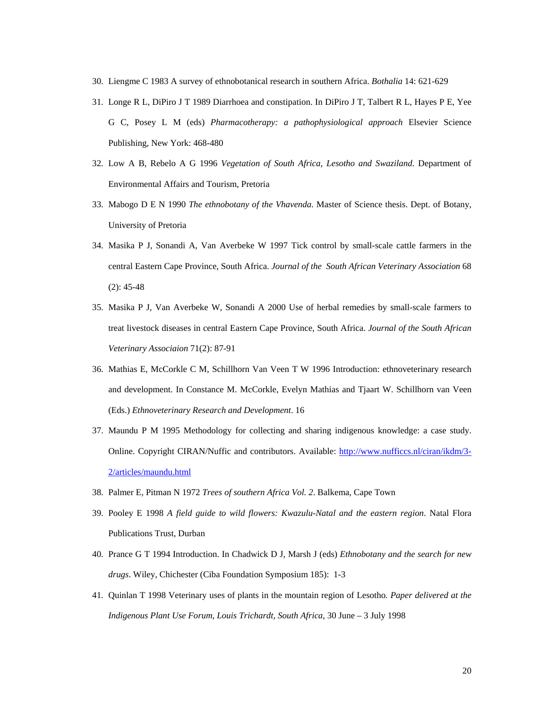- 30. Liengme C 1983 A survey of ethnobotanical research in southern Africa. *Bothalia* 14: 621-629
- 31. Longe R L, DiPiro J T 1989 Diarrhoea and constipation. In DiPiro J T, Talbert R L, Hayes P E, Yee G C, Posey L M (eds) *Pharmacotherapy: a pathophysiological approach* Elsevier Science Publishing, New York: 468-480
- 32. Low A B, Rebelo A G 1996 *Vegetation of South Africa, Lesotho and Swaziland*. Department of Environmental Affairs and Tourism, Pretoria
- 33. Mabogo D E N 1990 *The ethnobotany of the Vhavenda*. Master of Science thesis. Dept. of Botany, University of Pretoria
- 34. Masika P J, Sonandi A, Van Averbeke W 1997 Tick control by small-scale cattle farmers in the central Eastern Cape Province, South Africa. *Journal of the South African Veterinary Association* 68 (2): 45-48
- 35. Masika P J, Van Averbeke W, Sonandi A 2000 Use of herbal remedies by small-scale farmers to treat livestock diseases in central Eastern Cape Province, South Africa. *Journal of the South African Veterinary Associaion* 71(2): 87-91
- 36. Mathias E, McCorkle C M, Schillhorn Van Veen T W 1996 Introduction: ethnoveterinary research and development. In Constance M. McCorkle, Evelyn Mathias and Tjaart W. Schillhorn van Veen (Eds.) *Ethnoveterinary Research and Development*. 16
- 37. Maundu P M 1995 Methodology for collecting and sharing indigenous knowledge: a case study. Online. Copyright CIRAN/Nuffic and contributors. Available: http://www.nufficcs.nl/ciran/ikdm/3- 2/articles/maundu.html
- 38. Palmer E, Pitman N 1972 *Trees of southern Africa Vol. 2*. Balkema, Cape Town
- 39. Pooley E 1998 *A field guide to wild flowers: Kwazulu-Natal and the eastern region*. Natal Flora Publications Trust, Durban
- 40. Prance G T 1994 Introduction. In Chadwick D J, Marsh J (eds) *Ethnobotany and the search for new drugs*. Wiley, Chichester (Ciba Foundation Symposium 185): 1-3
- 41. Quinlan T 1998 Veterinary uses of plants in the mountain region of Lesotho*. Paper delivered at the Indigenous Plant Use Forum, Louis Trichardt, South Africa*, 30 June – 3 July 1998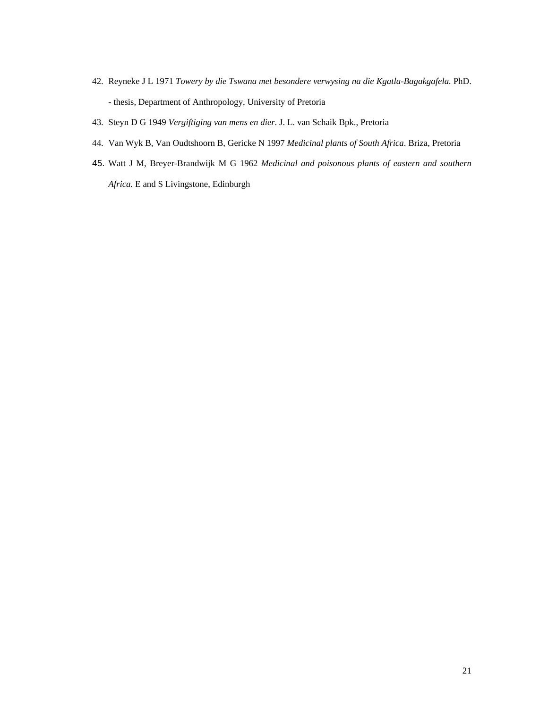- 42. Reyneke J L 1971 *Towery by die Tswana met besondere verwysing na die Kgatla-Bagakgafela.* PhD. - thesis, Department of Anthropology, University of Pretoria
- 43. Steyn D G 1949 *Vergiftiging van mens en dier*. J. L. van Schaik Bpk., Pretoria
- 44. Van Wyk B, Van Oudtshoorn B, Gericke N 1997 *Medicinal plants of South Africa*. Briza, Pretoria
- 45. Watt J M, Breyer-Brandwijk M G 1962 *Medicinal and poisonous plants of eastern and southern Africa.* E and S Livingstone, Edinburgh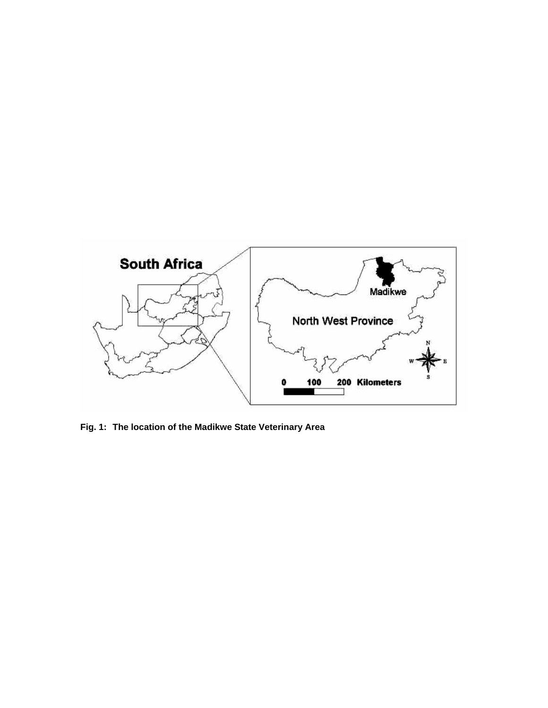

**Fig. 1: The location of the Madikwe State Veterinary Area**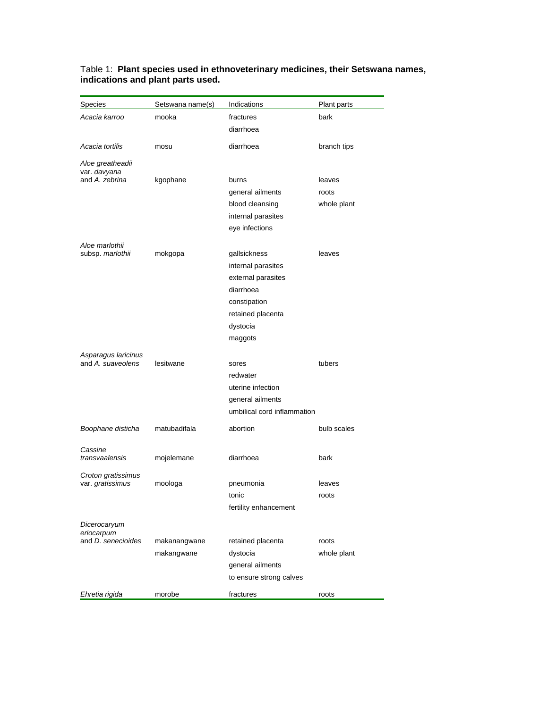|              | Indications                              | Plant parts                                                                                                                                                                                                                       |
|--------------|------------------------------------------|-----------------------------------------------------------------------------------------------------------------------------------------------------------------------------------------------------------------------------------|
| mooka        | fractures                                | bark                                                                                                                                                                                                                              |
|              | diarrhoea                                |                                                                                                                                                                                                                                   |
| mosu         | diarrhoea                                | branch tips                                                                                                                                                                                                                       |
|              |                                          |                                                                                                                                                                                                                                   |
| kgophane     | burns                                    | leaves                                                                                                                                                                                                                            |
|              | general ailments                         | roots                                                                                                                                                                                                                             |
|              | blood cleansing                          | whole plant                                                                                                                                                                                                                       |
|              | internal parasites                       |                                                                                                                                                                                                                                   |
|              | eye infections                           |                                                                                                                                                                                                                                   |
|              |                                          |                                                                                                                                                                                                                                   |
|              |                                          | leaves                                                                                                                                                                                                                            |
|              |                                          |                                                                                                                                                                                                                                   |
|              |                                          |                                                                                                                                                                                                                                   |
|              |                                          |                                                                                                                                                                                                                                   |
|              |                                          |                                                                                                                                                                                                                                   |
|              |                                          |                                                                                                                                                                                                                                   |
|              |                                          |                                                                                                                                                                                                                                   |
|              |                                          |                                                                                                                                                                                                                                   |
|              |                                          | tubers                                                                                                                                                                                                                            |
|              |                                          |                                                                                                                                                                                                                                   |
|              |                                          |                                                                                                                                                                                                                                   |
|              |                                          |                                                                                                                                                                                                                                   |
|              | umbilical cord inflammation              |                                                                                                                                                                                                                                   |
| matubadifala | abortion                                 | bulb scales                                                                                                                                                                                                                       |
|              |                                          |                                                                                                                                                                                                                                   |
| mojelemane   | diarrhoea                                | bark                                                                                                                                                                                                                              |
|              |                                          |                                                                                                                                                                                                                                   |
| moologa      | pneumonia                                | leaves                                                                                                                                                                                                                            |
|              |                                          | roots                                                                                                                                                                                                                             |
|              |                                          |                                                                                                                                                                                                                                   |
|              |                                          |                                                                                                                                                                                                                                   |
| makanangwane | retained placenta                        | roots                                                                                                                                                                                                                             |
| makangwane   | dystocia                                 | whole plant                                                                                                                                                                                                                       |
|              | general ailments                         |                                                                                                                                                                                                                                   |
|              | to ensure strong calves                  |                                                                                                                                                                                                                                   |
| morobe       | fractures                                | roots                                                                                                                                                                                                                             |
|              | Setswana name(s)<br>mokgopa<br>lesitwane | gallsickness<br>internal parasites<br>external parasites<br>diarrhoea<br>constipation<br>retained placenta<br>dystocia<br>maggots<br>sores<br>redwater<br>uterine infection<br>general ailments<br>tonic<br>fertility enhancement |

# Table 1: **Plant species used in ethnoveterinary medicines, their Setswana names, indications and plant parts used.**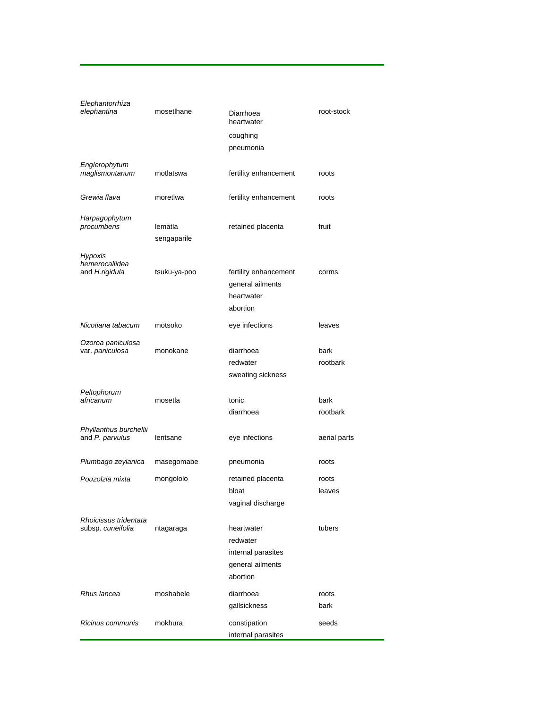| Elephantorrhiza<br>elephantina              | mosetlhane             | Diarrhoea<br>heartwater<br>coughing<br>pneumonia                             | root-stock       |
|---------------------------------------------|------------------------|------------------------------------------------------------------------------|------------------|
| Englerophytum<br>maglismontanum             | motlatswa              | fertility enhancement                                                        | roots            |
| Grewia flava                                | moretlwa               | fertility enhancement                                                        | roots            |
| Harpagophytum<br>procumbens                 | lematla<br>sengaparile | retained placenta                                                            | fruit            |
| Hypoxis<br>hemerocallidea<br>and H.rigidula | tsuku-ya-poo           | fertility enhancement<br>general ailments<br>heartwater<br>abortion          | corms            |
| Nicotiana tabacum                           | motsoko                | eye infections                                                               | leaves           |
| Ozoroa paniculosa<br>var. paniculosa        | monokane               | diarrhoea<br>redwater<br>sweating sickness                                   | bark<br>rootbark |
| Peltophorum<br>africanum                    | mosetla                | tonic<br>diarrhoea                                                           | bark<br>rootbark |
| Phyllanthus burchellii<br>and P. parvulus   | lentsane               | eye infections                                                               | aerial parts     |
| Plumbago zeylanica                          | masegomabe             | pneumonia                                                                    | roots            |
| Pouzolzia mixta                             | mongololo              | retained placenta<br>bloat<br>vaginal discharge                              | roots<br>leaves  |
| Rhoicissus tridentata<br>subsp. cuneifolia  | ntagaraga              | heartwater<br>redwater<br>internal parasites<br>general ailments<br>abortion | tubers           |
| Rhus lancea                                 | moshabele              | diarrhoea<br>gallsickness                                                    | roots<br>bark    |
| Ricinus communis                            | mokhura                | constipation<br>internal parasites                                           | seeds            |